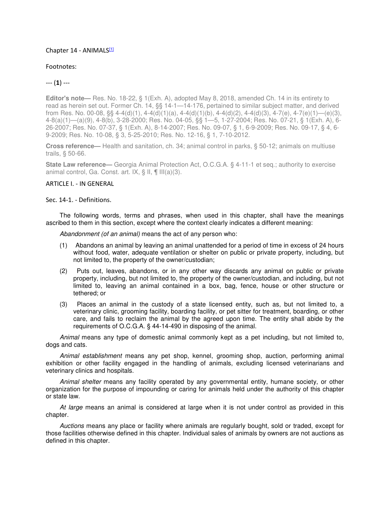### Chapter 14 - ANIMALS<sup>[1]</sup>

### Footnotes:

## --- (**1**) ---

**Editor's note—** Res. No. 18-22, § 1(Exh. A), adopted May 8, 2018, amended Ch. 14 in its entirety to read as herein set out. Former Ch. 14, §§ 14-1—14-176, pertained to similar subject matter, and derived from Res. No. 00-08, §§ 4-4(d)(1), 4-4(d)(1)(a), 4-4(d)(1)(b), 4-4(d)(2), 4-4(d)(3), 4-7(e), 4-7(e)(1)—(e)(3), 4-8(a)(1)—(a)(9), 4-8(b), 3-28-2000; Res. No. 04-05, §§ 1—5, 1-27-2004; Res. No. 07-21, § 1(Exh. A), 6- 26-2007; Res. No. 07-37, § 1(Exh. A), 8-14-2007; Res. No. 09-07, § 1, 6-9-2009; Res. No. 09-17, § 4, 6- 9-2009; Res. No. 10-08, § 3, 5-25-2010; Res. No. 12-16, § 1, 7-10-2012.

**Cross reference—** Health and sanitation, ch. 34; animal control in parks, § 50-12; animals on multiuse trails, § 50-66.

**State Law reference—** Georgia Animal Protection Act, O.C.G.A. § 4-11-1 et seq.; authority to exercise animal control, Ga. Const. art. IX, § II, ¶ III(a)(3).

#### ARTICLE I. - IN GENERAL

Sec. 14-1. - Definitions.

The following words, terms and phrases, when used in this chapter, shall have the meanings ascribed to them in this section, except where the context clearly indicates a different meaning:

Abandonment (of an animal) means the act of any person who:

- (1) Abandons an animal by leaving an animal unattended for a period of time in excess of 24 hours without food, water, adequate ventilation or shelter on public or private property, including, but not limited to, the property of the owner/custodian;
- (2) Puts out, leaves, abandons, or in any other way discards any animal on public or private property, including, but not limited to, the property of the owner/custodian, and including, but not limited to, leaving an animal contained in a box, bag, fence, house or other structure or tethered; or
- (3) Places an animal in the custody of a state licensed entity, such as, but not limited to, a veterinary clinic, grooming facility, boarding facility, or pet sitter for treatment, boarding, or other care, and fails to reclaim the animal by the agreed upon time. The entity shall abide by the requirements of O.C.G.A. § 44-14-490 in disposing of the animal.

Animal means any type of domestic animal commonly kept as a pet including, but not limited to, dogs and cats.

Animal establishment means any pet shop, kennel, grooming shop, auction, performing animal exhibition or other facility engaged in the handling of animals, excluding licensed veterinarians and veterinary clinics and hospitals.

Animal shelter means any facility operated by any governmental entity, humane society, or other organization for the purpose of impounding or caring for animals held under the authority of this chapter or state law.

At large means an animal is considered at large when it is not under control as provided in this chapter.

Auctions means any place or facility where animals are regularly bought, sold or traded, except for those facilities otherwise defined in this chapter. Individual sales of animals by owners are not auctions as defined in this chapter.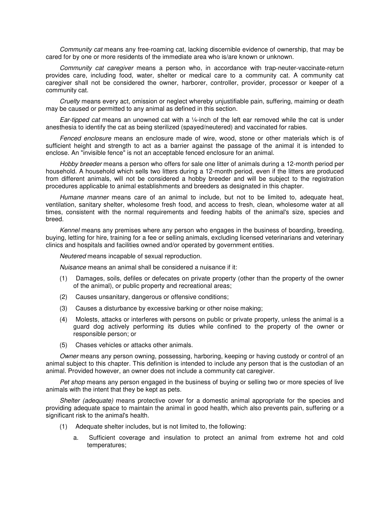Community cat means any free-roaming cat, lacking discernible evidence of ownership, that may be cared for by one or more residents of the immediate area who is/are known or unknown.

Community cat caregiver means a person who, in accordance with trap-neuter-vaccinate-return provides care, including food, water, shelter or medical care to a community cat. A community cat caregiver shall not be considered the owner, harborer, controller, provider, processor or keeper of a community cat.

Cruelty means every act, omission or neglect whereby unjustifiable pain, suffering, maiming or death may be caused or permitted to any animal as defined in this section.

Ear-tipped cat means an unowned cat with a 1/4-inch of the left ear removed while the cat is under anesthesia to identify the cat as being sterilized (spayed/neutered) and vaccinated for rabies.

Fenced enclosure means an enclosure made of wire, wood, stone or other materials which is of sufficient height and strength to act as a barrier against the passage of the animal it is intended to enclose. An "invisible fence" is not an acceptable fenced enclosure for an animal.

Hobby breeder means a person who offers for sale one litter of animals during a 12-month period per household. A household which sells two litters during a 12-month period, even if the litters are produced from different animals, will not be considered a hobby breeder and will be subject to the registration procedures applicable to animal establishments and breeders as designated in this chapter.

Humane manner means care of an animal to include, but not to be limited to, adequate heat, ventilation, sanitary shelter, wholesome fresh food, and access to fresh, clean, wholesome water at all times, consistent with the normal requirements and feeding habits of the animal's size, species and breed.

Kennel means any premises where any person who engages in the business of boarding, breeding, buying, letting for hire, training for a fee or selling animals, excluding licensed veterinarians and veterinary clinics and hospitals and facilities owned and/or operated by government entities.

Neutered means incapable of sexual reproduction.

Nuisance means an animal shall be considered a nuisance if it:

- (1) Damages, soils, defiles or defecates on private property (other than the property of the owner of the animal), or public property and recreational areas;
- (2) Causes unsanitary, dangerous or offensive conditions;
- (3) Causes a disturbance by excessive barking or other noise making;
- (4) Molests, attacks or interferes with persons on public or private property, unless the animal is a guard dog actively performing its duties while confined to the property of the owner or responsible person; or
- (5) Chases vehicles or attacks other animals.

Owner means any person owning, possessing, harboring, keeping or having custody or control of an animal subject to this chapter. This definition is intended to include any person that is the custodian of an animal. Provided however, an owner does not include a community cat caregiver.

Pet shop means any person engaged in the business of buying or selling two or more species of live animals with the intent that they be kept as pets.

Shelter (adequate) means protective cover for a domestic animal appropriate for the species and providing adequate space to maintain the animal in good health, which also prevents pain, suffering or a significant risk to the animal's health.

- (1) Adequate shelter includes, but is not limited to, the following:
	- a. Sufficient coverage and insulation to protect an animal from extreme hot and cold temperatures;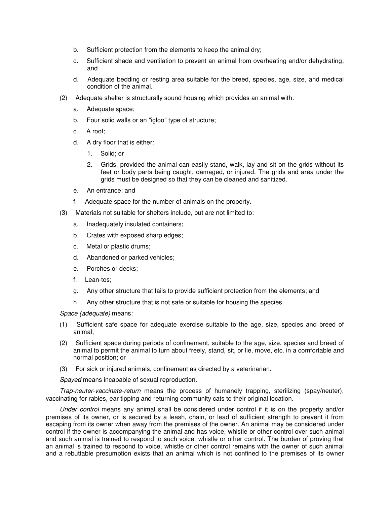- b. Sufficient protection from the elements to keep the animal dry;
- c. Sufficient shade and ventilation to prevent an animal from overheating and/or dehydrating; and
- d. Adequate bedding or resting area suitable for the breed, species, age, size, and medical condition of the animal.
- (2) Adequate shelter is structurally sound housing which provides an animal with:
	- a. Adequate space;
	- b. Four solid walls or an "igloo" type of structure;
	- c. A roof;
	- d. A dry floor that is either:
		- 1. Solid; or
		- 2. Grids, provided the animal can easily stand, walk, lay and sit on the grids without its feet or body parts being caught, damaged, or injured. The grids and area under the grids must be designed so that they can be cleaned and sanitized.
	- e. An entrance; and
	- f. Adequate space for the number of animals on the property.
- (3) Materials not suitable for shelters include, but are not limited to:
	- a. Inadequately insulated containers;
	- b. Crates with exposed sharp edges;
	- c. Metal or plastic drums;
	- d. Abandoned or parked vehicles;
	- e. Porches or decks;
	- f. Lean-tos;
	- g. Any other structure that fails to provide sufficient protection from the elements; and
	- h. Any other structure that is not safe or suitable for housing the species.

Space (adequate) means:

- (1) Sufficient safe space for adequate exercise suitable to the age, size, species and breed of animal;
- (2) Sufficient space during periods of confinement, suitable to the age, size, species and breed of animal to permit the animal to turn about freely, stand, sit, or lie, move, etc. in a comfortable and normal position; or
- (3) For sick or injured animals, confinement as directed by a veterinarian.

Spayed means incapable of sexual reproduction.

Trap-neuter-vaccinate-return means the process of humanely trapping, sterilizing (spay/neuter), vaccinating for rabies, ear tipping and returning community cats to their original location.

Under control means any animal shall be considered under control if it is on the property and/or premises of its owner, or is secured by a leash, chain, or lead of sufficient strength to prevent it from escaping from its owner when away from the premises of the owner. An animal may be considered under control if the owner is accompanying the animal and has voice, whistle or other control over such animal and such animal is trained to respond to such voice, whistle or other control. The burden of proving that an animal is trained to respond to voice, whistle or other control remains with the owner of such animal and a rebuttable presumption exists that an animal which is not confined to the premises of its owner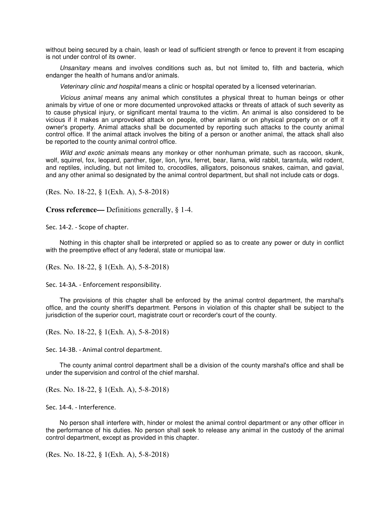without being secured by a chain, leash or lead of sufficient strength or fence to prevent it from escaping is not under control of its owner.

Unsanitary means and involves conditions such as, but not limited to, filth and bacteria, which endanger the health of humans and/or animals.

Veterinary clinic and hospital means a clinic or hospital operated by a licensed veterinarian.

Vicious animal means any animal which constitutes a physical threat to human beings or other animals by virtue of one or more documented unprovoked attacks or threats of attack of such severity as to cause physical injury, or significant mental trauma to the victim. An animal is also considered to be vicious if it makes an unprovoked attack on people, other animals or on physical property on or off it owner's property. Animal attacks shall be documented by reporting such attacks to the county animal control office. If the animal attack involves the biting of a person or another animal, the attack shall also be reported to the county animal control office.

Wild and exotic animals means any monkey or other nonhuman primate, such as raccoon, skunk, wolf, squirrel, fox, leopard, panther, tiger, lion, lynx, ferret, bear, llama, wild rabbit, tarantula, wild rodent, and reptiles, including, but not limited to, crocodiles, alligators, poisonous snakes, caiman, and gavial, and any other animal so designated by the animal control department, but shall not include cats or dogs.

(Res. No. 18-22, § 1(Exh. A), 5-8-2018)

**Cross reference—** Definitions generally, § 1-4.

Sec. 14-2. - Scope of chapter.

Nothing in this chapter shall be interpreted or applied so as to create any power or duty in conflict with the preemptive effect of any federal, state or municipal law.

(Res. No. 18-22, § 1(Exh. A), 5-8-2018)

Sec. 14-3A. - Enforcement responsibility.

The provisions of this chapter shall be enforced by the animal control department, the marshal's office, and the county sheriff's department. Persons in violation of this chapter shall be subject to the jurisdiction of the superior court, magistrate court or recorder's court of the county.

(Res. No. 18-22, § 1(Exh. A), 5-8-2018)

Sec. 14-3B. - Animal control department.

The county animal control department shall be a division of the county marshal's office and shall be under the supervision and control of the chief marshal.

(Res. No. 18-22, § 1(Exh. A), 5-8-2018)

Sec. 14-4. - Interference.

No person shall interfere with, hinder or molest the animal control department or any other officer in the performance of his duties. No person shall seek to release any animal in the custody of the animal control department, except as provided in this chapter.

(Res. No. 18-22, § 1(Exh. A), 5-8-2018)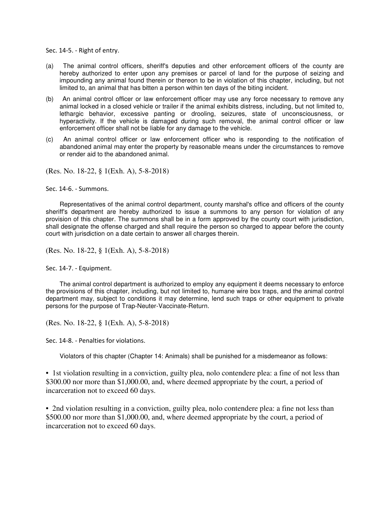Sec. 14-5. - Right of entry.

- (a) The animal control officers, sheriff's deputies and other enforcement officers of the county are hereby authorized to enter upon any premises or parcel of land for the purpose of seizing and impounding any animal found therein or thereon to be in violation of this chapter, including, but not limited to, an animal that has bitten a person within ten days of the biting incident.
- (b) An animal control officer or law enforcement officer may use any force necessary to remove any animal locked in a closed vehicle or trailer if the animal exhibits distress, including, but not limited to, lethargic behavior, excessive panting or drooling, seizures, state of unconsciousness, or hyperactivity. If the vehicle is damaged during such removal, the animal control officer or law enforcement officer shall not be liable for any damage to the vehicle.
- (c) An animal control officer or law enforcement officer who is responding to the notification of abandoned animal may enter the property by reasonable means under the circumstances to remove or render aid to the abandoned animal.

(Res. No. 18-22, § 1(Exh. A), 5-8-2018)

Sec. 14-6. - Summons.

Representatives of the animal control department, county marshal's office and officers of the county sheriff's department are hereby authorized to issue a summons to any person for violation of any provision of this chapter. The summons shall be in a form approved by the county court with jurisdiction, shall designate the offense charged and shall require the person so charged to appear before the county court with jurisdiction on a date certain to answer all charges therein.

(Res. No. 18-22, § 1(Exh. A), 5-8-2018)

Sec. 14-7. - Equipment.

The animal control department is authorized to employ any equipment it deems necessary to enforce the provisions of this chapter, including, but not limited to, humane wire box traps, and the animal control department may, subject to conditions it may determine, lend such traps or other equipment to private persons for the purpose of Trap-Neuter-Vaccinate-Return.

(Res. No. 18-22, § 1(Exh. A), 5-8-2018)

Sec. 14-8. - Penalties for violations.

Violators of this chapter (Chapter 14: Animals) shall be punished for a misdemeanor as follows:

• 1st violation resulting in a conviction, guilty plea, nolo contendere plea: a fine of not less than \$300.00 nor more than \$1,000.00, and, where deemed appropriate by the court, a period of incarceration not to exceed 60 days.

• 2nd violation resulting in a conviction, guilty plea, nolo contendere plea: a fine not less than \$500.00 nor more than \$1,000.00, and, where deemed appropriate by the court, a period of incarceration not to exceed 60 days.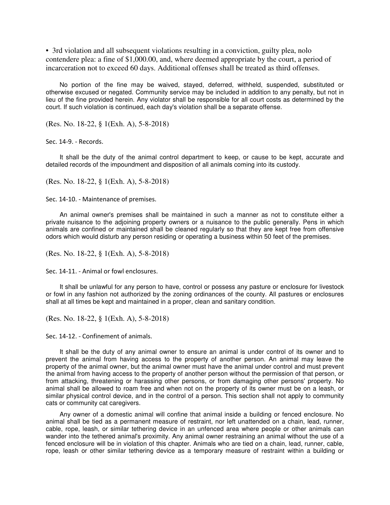• 3rd violation and all subsequent violations resulting in a conviction, guilty plea, nolo contendere plea: a fine of \$1,000.00, and, where deemed appropriate by the court, a period of incarceration not to exceed 60 days. Additional offenses shall be treated as third offenses.

No portion of the fine may be waived, stayed, deferred, withheld, suspended, substituted or otherwise excused or negated. Community service may be included in addition to any penalty, but not in lieu of the fine provided herein. Any violator shall be responsible for all court costs as determined by the court. If such violation is continued, each day's violation shall be a separate offense.

(Res. No. 18-22, § 1(Exh. A), 5-8-2018)

Sec. 14-9. - Records.

It shall be the duty of the animal control department to keep, or cause to be kept, accurate and detailed records of the impoundment and disposition of all animals coming into its custody.

(Res. No. 18-22, § 1(Exh. A), 5-8-2018)

Sec. 14-10. - Maintenance of premises.

An animal owner's premises shall be maintained in such a manner as not to constitute either a private nuisance to the adjoining property owners or a nuisance to the public generally. Pens in which animals are confined or maintained shall be cleaned regularly so that they are kept free from offensive odors which would disturb any person residing or operating a business within 50 feet of the premises.

(Res. No. 18-22, § 1(Exh. A), 5-8-2018)

Sec. 14-11. - Animal or fowl enclosures.

It shall be unlawful for any person to have, control or possess any pasture or enclosure for livestock or fowl in any fashion not authorized by the zoning ordinances of the county. All pastures or enclosures shall at all times be kept and maintained in a proper, clean and sanitary condition.

(Res. No. 18-22, § 1(Exh. A), 5-8-2018)

Sec. 14-12. - Confinement of animals.

It shall be the duty of any animal owner to ensure an animal is under control of its owner and to prevent the animal from having access to the property of another person. An animal may leave the property of the animal owner, but the animal owner must have the animal under control and must prevent the animal from having access to the property of another person without the permission of that person, or from attacking, threatening or harassing other persons, or from damaging other persons' property. No animal shall be allowed to roam free and when not on the property of its owner must be on a leash, or similar physical control device, and in the control of a person. This section shall not apply to community cats or community cat caregivers.

Any owner of a domestic animal will confine that animal inside a building or fenced enclosure. No animal shall be tied as a permanent measure of restraint, nor left unattended on a chain, lead, runner, cable, rope, leash, or similar tethering device in an unfenced area where people or other animals can wander into the tethered animal's proximity. Any animal owner restraining an animal without the use of a fenced enclosure will be in violation of this chapter. Animals who are tied on a chain, lead, runner, cable, rope, leash or other similar tethering device as a temporary measure of restraint within a building or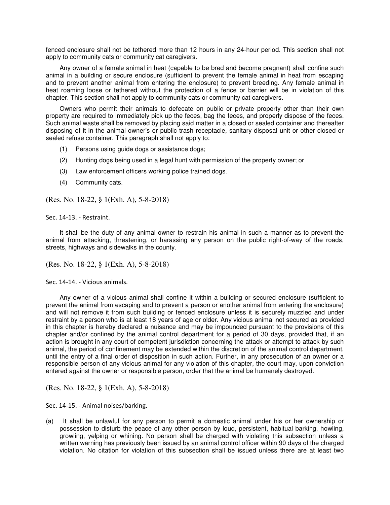fenced enclosure shall not be tethered more than 12 hours in any 24-hour period. This section shall not apply to community cats or community cat caregivers.

Any owner of a female animal in heat (capable to be bred and become pregnant) shall confine such animal in a building or secure enclosure (sufficient to prevent the female animal in heat from escaping and to prevent another animal from entering the enclosure) to prevent breeding. Any female animal in heat roaming loose or tethered without the protection of a fence or barrier will be in violation of this chapter. This section shall not apply to community cats or community cat caregivers.

Owners who permit their animals to defecate on public or private property other than their own property are required to immediately pick up the feces, bag the feces, and properly dispose of the feces. Such animal waste shall be removed by placing said matter in a closed or sealed container and thereafter disposing of it in the animal owner's or public trash receptacle, sanitary disposal unit or other closed or sealed refuse container. This paragraph shall not apply to:

- (1) Persons using guide dogs or assistance dogs;
- (2) Hunting dogs being used in a legal hunt with permission of the property owner; or
- (3) Law enforcement officers working police trained dogs.
- (4) Community cats.

(Res. No. 18-22, § 1(Exh. A), 5-8-2018)

Sec. 14-13. - Restraint.

It shall be the duty of any animal owner to restrain his animal in such a manner as to prevent the animal from attacking, threatening, or harassing any person on the public right-of-way of the roads, streets, highways and sidewalks in the county.

(Res. No. 18-22, § 1(Exh. A), 5-8-2018)

Sec. 14-14. - Vicious animals.

Any owner of a vicious animal shall confine it within a building or secured enclosure (sufficient to prevent the animal from escaping and to prevent a person or another animal from entering the enclosure) and will not remove it from such building or fenced enclosure unless it is securely muzzled and under restraint by a person who is at least 18 years of age or older. Any vicious animal not secured as provided in this chapter is hereby declared a nuisance and may be impounded pursuant to the provisions of this chapter and/or confined by the animal control department for a period of 30 days, provided that, if an action is brought in any court of competent jurisdiction concerning the attack or attempt to attack by such animal, the period of confinement may be extended within the discretion of the animal control department, until the entry of a final order of disposition in such action. Further, in any prosecution of an owner or a responsible person of any vicious animal for any violation of this chapter, the court may, upon conviction entered against the owner or responsible person, order that the animal be humanely destroyed.

(Res. No. 18-22, § 1(Exh. A), 5-8-2018)

Sec. 14-15. - Animal noises/barking.

(a) It shall be unlawful for any person to permit a domestic animal under his or her ownership or possession to disturb the peace of any other person by loud, persistent, habitual barking, howling, growling, yelping or whining. No person shall be charged with violating this subsection unless a written warning has previously been issued by an animal control officer within 90 days of the charged violation. No citation for violation of this subsection shall be issued unless there are at least two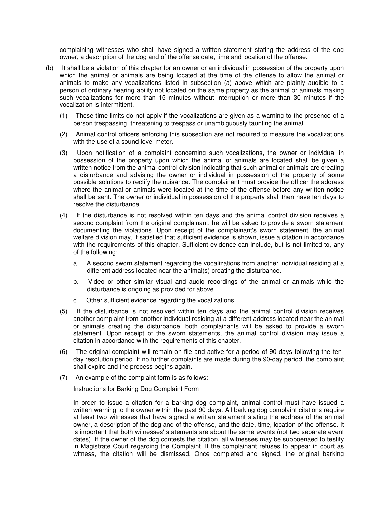complaining witnesses who shall have signed a written statement stating the address of the dog owner, a description of the dog and of the offense date, time and location of the offense.

- (b) It shall be a violation of this chapter for an owner or an individual in possession of the property upon which the animal or animals are being located at the time of the offense to allow the animal or animals to make any vocalizations listed in subsection (a) above which are plainly audible to a person of ordinary hearing ability not located on the same property as the animal or animals making such vocalizations for more than 15 minutes without interruption or more than 30 minutes if the vocalization is intermittent.
	- (1) These time limits do not apply if the vocalizations are given as a warning to the presence of a person trespassing, threatening to trespass or unambiguously taunting the animal.
	- (2) Animal control officers enforcing this subsection are not required to measure the vocalizations with the use of a sound level meter.
	- (3) Upon notification of a complaint concerning such vocalizations, the owner or individual in possession of the property upon which the animal or animals are located shall be given a written notice from the animal control division indicating that such animal or animals are creating a disturbance and advising the owner or individual in possession of the property of some possible solutions to rectify the nuisance. The complainant must provide the officer the address where the animal or animals were located at the time of the offense before any written notice shall be sent. The owner or individual in possession of the property shall then have ten days to resolve the disturbance.
	- (4) If the disturbance is not resolved within ten days and the animal control division receives a second complaint from the original complainant, he will be asked to provide a sworn statement documenting the violations. Upon receipt of the complainant's sworn statement, the animal welfare division may, if satisfied that sufficient evidence is shown, issue a citation in accordance with the requirements of this chapter. Sufficient evidence can include, but is not limited to, any of the following:
		- a. A second sworn statement regarding the vocalizations from another individual residing at a different address located near the animal(s) creating the disturbance.
		- b. Video or other similar visual and audio recordings of the animal or animals while the disturbance is ongoing as provided for above.
		- c. Other sufficient evidence regarding the vocalizations.
	- (5) If the disturbance is not resolved within ten days and the animal control division receives another complaint from another individual residing at a different address located near the animal or animals creating the disturbance, both complainants will be asked to provide a sworn statement. Upon receipt of the sworn statements, the animal control division may issue a citation in accordance with the requirements of this chapter.
	- (6) The original complaint will remain on file and active for a period of 90 days following the tenday resolution period. If no further complaints are made during the 90-day period, the complaint shall expire and the process begins again.
	- (7) An example of the complaint form is as follows:

Instructions for Barking Dog Complaint Form

In order to issue a citation for a barking dog complaint, animal control must have issued a written warning to the owner within the past 90 days. All barking dog complaint citations require at least two witnesses that have signed a written statement stating the address of the animal owner, a description of the dog and of the offense, and the date, time, location of the offense. It is important that both witnesses' statements are about the same events (not two separate event dates). If the owner of the dog contests the citation, all witnesses may be subpoenaed to testify in Magistrate Court regarding the Complaint. If the complainant refuses to appear in court as witness, the citation will be dismissed. Once completed and signed, the original barking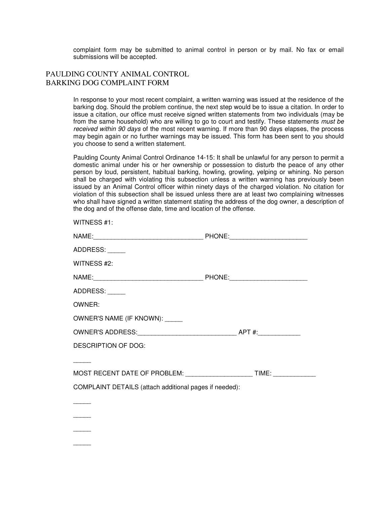complaint form may be submitted to animal control in person or by mail. No fax or email submissions will be accepted.

# PAULDING COUNTY ANIMAL CONTROL BARKING DOG COMPLAINT FORM

In response to your most recent complaint, a written warning was issued at the residence of the barking dog. Should the problem continue, the next step would be to issue a citation. In order to issue a citation, our office must receive signed written statements from two individuals (may be from the same household) who are willing to go to court and testify. These statements must be received within 90 days of the most recent warning. If more than 90 days elapses, the process may begin again or no further warnings may be issued. This form has been sent to you should you choose to send a written statement.

Paulding County Animal Control Ordinance 14-15: It shall be unlawful for any person to permit a domestic animal under his or her ownership or possession to disturb the peace of any other person by loud, persistent, habitual barking, howling, growling, yelping or whining. No person shall be charged with violating this subsection unless a written warning has previously been issued by an Animal Control officer within ninety days of the charged violation. No citation for violation of this subsection shall be issued unless there are at least two complaining witnesses who shall have signed a written statement stating the address of the dog owner, a description of the dog and of the offense date, time and location of the offense.

| WITNESS #1:                                                                      |  |  |  |  |
|----------------------------------------------------------------------------------|--|--|--|--|
|                                                                                  |  |  |  |  |
| ADDRESS:                                                                         |  |  |  |  |
| WITNESS #2:                                                                      |  |  |  |  |
|                                                                                  |  |  |  |  |
| ADDRESS:                                                                         |  |  |  |  |
| OWNER:                                                                           |  |  |  |  |
| OWNER'S NAME (IF KNOWN): _____                                                   |  |  |  |  |
|                                                                                  |  |  |  |  |
| <b>DESCRIPTION OF DOG:</b>                                                       |  |  |  |  |
|                                                                                  |  |  |  |  |
| MOST RECENT DATE OF PROBLEM: ___________________________TIME: __________________ |  |  |  |  |
| COMPLAINT DETAILS (attach additional pages if needed):                           |  |  |  |  |
|                                                                                  |  |  |  |  |
|                                                                                  |  |  |  |  |
|                                                                                  |  |  |  |  |
|                                                                                  |  |  |  |  |
|                                                                                  |  |  |  |  |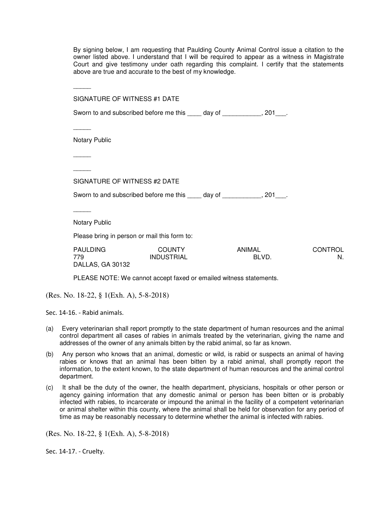By signing below, I am requesting that Paulding County Animal Control issue a citation to the owner listed above. I understand that I will be required to appear as a witness in Magistrate Court and give testimony under oath regarding this complaint. I certify that the statements above are true and accurate to the best of my knowledge.

| SIGNATURE OF WITNESS #1 DATE                 |                                                                            |               |       |                      |
|----------------------------------------------|----------------------------------------------------------------------------|---------------|-------|----------------------|
|                                              | Sworn to and subscribed before me this _____ day of ____________, 201___.  |               |       |                      |
|                                              |                                                                            |               |       |                      |
| <b>Notary Public</b>                         |                                                                            |               |       |                      |
|                                              |                                                                            |               |       |                      |
|                                              |                                                                            |               |       |                      |
| SIGNATURE OF WITNESS #2 DATE                 |                                                                            |               |       |                      |
|                                              | Sworn to and subscribed before me this _____ day of ____________, 201____. |               |       |                      |
|                                              |                                                                            |               |       |                      |
| <b>Notary Public</b>                         |                                                                            |               |       |                      |
| Please bring in person or mail this form to: |                                                                            |               |       |                      |
| <b>PAULDING</b><br>779<br>DALLAS, GA 30132   | <b>COUNTY</b><br><b>INDUSTRIAL</b>                                         | <b>ANIMAL</b> | BLVD. | <b>CONTROL</b><br>N. |
|                                              | PLEASE NOTE: We cannot accept faxed or emailed witness statements.         |               |       |                      |

(Res. No. 18-22, § 1(Exh. A), 5-8-2018)

Sec. 14-16. - Rabid animals.

- (a) Every veterinarian shall report promptly to the state department of human resources and the animal control department all cases of rabies in animals treated by the veterinarian, giving the name and addresses of the owner of any animals bitten by the rabid animal, so far as known.
- (b) Any person who knows that an animal, domestic or wild, is rabid or suspects an animal of having rabies or knows that an animal has been bitten by a rabid animal, shall promptly report the information, to the extent known, to the state department of human resources and the animal control department.
- (c) It shall be the duty of the owner, the health department, physicians, hospitals or other person or agency gaining information that any domestic animal or person has been bitten or is probably infected with rabies, to incarcerate or impound the animal in the facility of a competent veterinarian or animal shelter within this county, where the animal shall be held for observation for any period of time as may be reasonably necessary to determine whether the animal is infected with rabies.

(Res. No. 18-22, § 1(Exh. A), 5-8-2018)

Sec. 14-17. - Cruelty.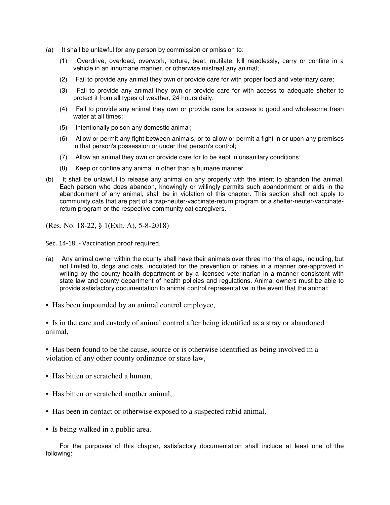- (a) It shall be unlawful for any person by commission or omission to:
	- (1) Overdrive, overload, overwork, torture, beat, mutilate, kill needlessly, carry or confine in a vehicle in an inhumane manner, or otherwise mistreat any animal;
	- (2) Fail to provide any animal they own or provide care for with proper food and veterinary care;
	- (3) Fail to provide any animal they own or provide care for with access to adequate shelter to protect it from all types of weather, 24 hours daily;
	- (4) Fail to provide any animal they own or provide care for access to good and wholesome fresh water at all times;
	- (5) Intentionally poison any domestic animal;
	- (6) Allow or permit any fight between animals, or to allow or permit a fight in or upon any premises in that person's possession or under that person's control;
	- (7) Allow an animal they own or provide care for to be kept in unsanitary conditions;
	- (8) Keep or confine any animal in other than a humane manner.
- (b) It shall be unlawful to release any animal on any property with the intent to abandon the animal. Each person who does abandon, knowingly or willingly permits such abandonment or aids in the abandonment of any animal, shall be in violation of this chapter. This section shall not apply to community cats that are part of a trap-neuter-vaccinate-return program or a shelter-neuter-vaccinatereturn program or the respective community cat caregivers.

(Res. No. 18-22, § 1(Exh. A), 5-8-2018)

Sec. 14-18. - Vaccination proof required.

- (a) Any animal owner within the county shall have their animals over three months of age, including, but not limited to, dogs and cats, inoculated for the prevention of rabies in a manner pre-approved in writing by the county health department or by a licensed veterinarian in a manner consistent with state law and county department of health policies and regulations. Animal owners must be able to provide satisfactory documentation to animal control representative in the event that the animal:
- Has been impounded by an animal control employee,

• Is in the care and custody of animal control after being identified as a stray or abandoned animal,

• Has been found to be the cause, source or is otherwise identified as being involved in a violation of any other county ordinance or state law,

- Has bitten or scratched a human,
- Has bitten or scratched another animal.
- Has been in contact or otherwise exposed to a suspected rabid animal,
- Is being walked in a public area.

For the purposes of this chapter, satisfactory documentation shall include at least one of the following: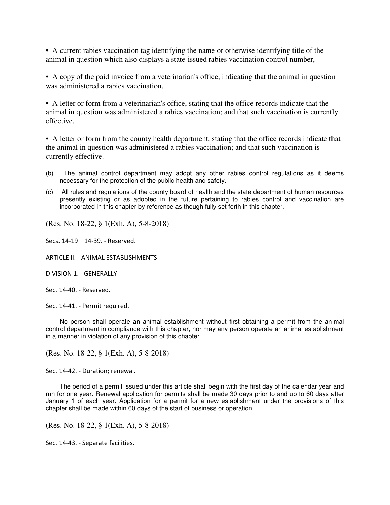• A current rabies vaccination tag identifying the name or otherwise identifying title of the animal in question which also displays a state-issued rabies vaccination control number,

• A copy of the paid invoice from a veterinarian's office, indicating that the animal in question was administered a rabies vaccination,

• A letter or form from a veterinarian's office, stating that the office records indicate that the animal in question was administered a rabies vaccination; and that such vaccination is currently effective,

• A letter or form from the county health department, stating that the office records indicate that the animal in question was administered a rabies vaccination; and that such vaccination is currently effective.

- (b) The animal control department may adopt any other rabies control regulations as it deems necessary for the protection of the public health and safety.
- (c) All rules and regulations of the county board of health and the state department of human resources presently existing or as adopted in the future pertaining to rabies control and vaccination are incorporated in this chapter by reference as though fully set forth in this chapter.

(Res. No. 18-22, § 1(Exh. A), 5-8-2018)

Secs. 14-19—14-39. - Reserved.

ARTICLE II. - ANIMAL ESTABLISHMENTS

DIVISION 1. - GENERALLY

Sec. 14-40. - Reserved.

Sec. 14-41. - Permit required.

No person shall operate an animal establishment without first obtaining a permit from the animal control department in compliance with this chapter, nor may any person operate an animal establishment in a manner in violation of any provision of this chapter.

(Res. No. 18-22, § 1(Exh. A), 5-8-2018)

Sec. 14-42. - Duration; renewal.

The period of a permit issued under this article shall begin with the first day of the calendar year and run for one year. Renewal application for permits shall be made 30 days prior to and up to 60 days after January 1 of each year. Application for a permit for a new establishment under the provisions of this chapter shall be made within 60 days of the start of business or operation.

(Res. No. 18-22, § 1(Exh. A), 5-8-2018)

Sec. 14-43. - Separate facilities.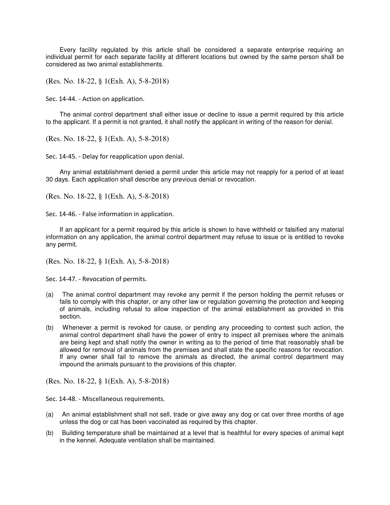Every facility regulated by this article shall be considered a separate enterprise requiring an individual permit for each separate facility at different locations but owned by the same person shall be considered as two animal establishments.

(Res. No. 18-22, § 1(Exh. A), 5-8-2018)

Sec. 14-44. - Action on application.

The animal control department shall either issue or decline to issue a permit required by this article to the applicant. If a permit is not granted, it shall notify the applicant in writing of the reason for denial.

(Res. No. 18-22, § 1(Exh. A), 5-8-2018)

Sec. 14-45. - Delay for reapplication upon denial.

Any animal establishment denied a permit under this article may not reapply for a period of at least 30 days. Each application shall describe any previous denial or revocation.

(Res. No. 18-22, § 1(Exh. A), 5-8-2018)

Sec. 14-46. - False information in application.

If an applicant for a permit required by this article is shown to have withheld or falsified any material information on any application, the animal control department may refuse to issue or is entitled to revoke any permit.

(Res. No. 18-22, § 1(Exh. A), 5-8-2018)

Sec. 14-47. - Revocation of permits.

- (a) The animal control department may revoke any permit if the person holding the permit refuses or fails to comply with this chapter, or any other law or regulation governing the protection and keeping of animals, including refusal to allow inspection of the animal establishment as provided in this section.
- (b) Whenever a permit is revoked for cause, or pending any proceeding to contest such action, the animal control department shall have the power of entry to inspect all premises where the animals are being kept and shall notify the owner in writing as to the period of time that reasonably shall be allowed for removal of animals from the premises and shall state the specific reasons for revocation. If any owner shall fail to remove the animals as directed, the animal control department may impound the animals pursuant to the provisions of this chapter.

(Res. No. 18-22, § 1(Exh. A), 5-8-2018)

Sec. 14-48. - Miscellaneous requirements.

- (a) An animal establishment shall not sell, trade or give away any dog or cat over three months of age unless the dog or cat has been vaccinated as required by this chapter.
- (b) Building temperature shall be maintained at a level that is healthful for every species of animal kept in the kennel. Adequate ventilation shall be maintained.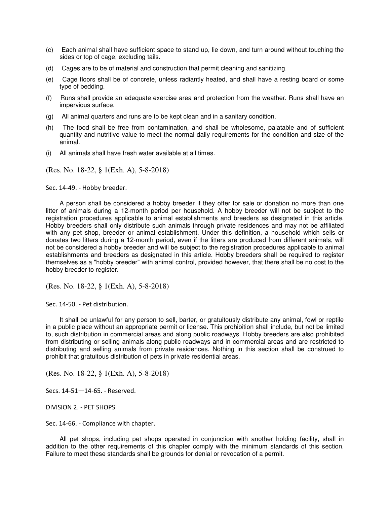- (c) Each animal shall have sufficient space to stand up, lie down, and turn around without touching the sides or top of cage, excluding tails.
- (d) Cages are to be of material and construction that permit cleaning and sanitizing.
- (e) Cage floors shall be of concrete, unless radiantly heated, and shall have a resting board or some type of bedding.
- (f) Runs shall provide an adequate exercise area and protection from the weather. Runs shall have an impervious surface.
- (g) All animal quarters and runs are to be kept clean and in a sanitary condition.
- (h) The food shall be free from contamination, and shall be wholesome, palatable and of sufficient quantity and nutritive value to meet the normal daily requirements for the condition and size of the animal.
- (i) All animals shall have fresh water available at all times.

(Res. No. 18-22, § 1(Exh. A), 5-8-2018)

Sec. 14-49. - Hobby breeder.

A person shall be considered a hobby breeder if they offer for sale or donation no more than one litter of animals during a 12-month period per household. A hobby breeder will not be subject to the registration procedures applicable to animal establishments and breeders as designated in this article. Hobby breeders shall only distribute such animals through private residences and may not be affiliated with any pet shop, breeder or animal establishment. Under this definition, a household which sells or donates two litters during a 12-month period, even if the litters are produced from different animals, will not be considered a hobby breeder and will be subject to the registration procedures applicable to animal establishments and breeders as designated in this article. Hobby breeders shall be required to register themselves as a "hobby breeder" with animal control, provided however, that there shall be no cost to the hobby breeder to register.

(Res. No. 18-22, § 1(Exh. A), 5-8-2018)

Sec. 14-50. - Pet distribution.

It shall be unlawful for any person to sell, barter, or gratuitously distribute any animal, fowl or reptile in a public place without an appropriate permit or license. This prohibition shall include, but not be limited to, such distribution in commercial areas and along public roadways. Hobby breeders are also prohibited from distributing or selling animals along public roadways and in commercial areas and are restricted to distributing and selling animals from private residences. Nothing in this section shall be construed to prohibit that gratuitous distribution of pets in private residential areas.

(Res. No. 18-22, § 1(Exh. A), 5-8-2018)

Secs. 14-51—14-65. - Reserved.

DIVISION 2. - PET SHOPS

Sec. 14-66. - Compliance with chapter.

All pet shops, including pet shops operated in conjunction with another holding facility, shall in addition to the other requirements of this chapter comply with the minimum standards of this section. Failure to meet these standards shall be grounds for denial or revocation of a permit.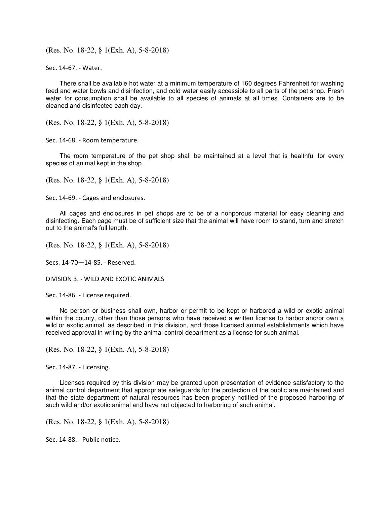(Res. No. 18-22, § 1(Exh. A), 5-8-2018)

Sec. 14-67. - Water.

There shall be available hot water at a minimum temperature of 160 degrees Fahrenheit for washing feed and water bowls and disinfection, and cold water easily accessible to all parts of the pet shop. Fresh water for consumption shall be available to all species of animals at all times. Containers are to be cleaned and disinfected each day.

(Res. No. 18-22, § 1(Exh. A), 5-8-2018)

Sec. 14-68. - Room temperature.

The room temperature of the pet shop shall be maintained at a level that is healthful for every species of animal kept in the shop.

(Res. No. 18-22, § 1(Exh. A), 5-8-2018)

Sec. 14-69. - Cages and enclosures.

All cages and enclosures in pet shops are to be of a nonporous material for easy cleaning and disinfecting. Each cage must be of sufficient size that the animal will have room to stand, turn and stretch out to the animal's full length.

(Res. No. 18-22, § 1(Exh. A), 5-8-2018)

Secs. 14-70—14-85. - Reserved.

DIVISION 3. - WILD AND EXOTIC ANIMALS

Sec. 14-86. - License required.

No person or business shall own, harbor or permit to be kept or harbored a wild or exotic animal within the county, other than those persons who have received a written license to harbor and/or own a wild or exotic animal, as described in this division, and those licensed animal establishments which have received approval in writing by the animal control department as a license for such animal.

(Res. No. 18-22, § 1(Exh. A), 5-8-2018)

Sec. 14-87. - Licensing.

Licenses required by this division may be granted upon presentation of evidence satisfactory to the animal control department that appropriate safeguards for the protection of the public are maintained and that the state department of natural resources has been properly notified of the proposed harboring of such wild and/or exotic animal and have not objected to harboring of such animal.

(Res. No. 18-22, § 1(Exh. A), 5-8-2018)

Sec. 14-88. - Public notice.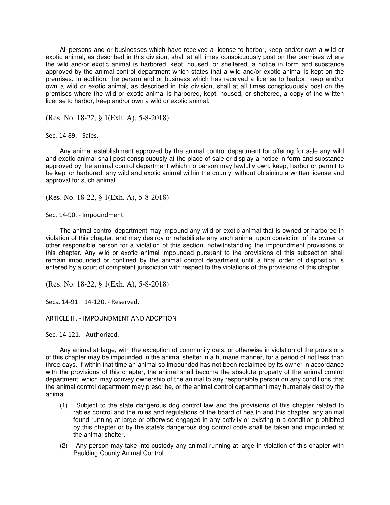All persons and or businesses which have received a license to harbor, keep and/or own a wild or exotic animal, as described in this division, shall at all times conspicuously post on the premises where the wild and/or exotic animal is harbored, kept, housed, or sheltered, a notice in form and substance approved by the animal control department which states that a wild and/or exotic animal is kept on the premises. In addition, the person and or business which has received a license to harbor, keep and/or own a wild or exotic animal, as described in this division, shall at all times conspicuously post on the premises where the wild or exotic animal is harbored, kept, housed, or sheltered, a copy of the written license to harbor, keep and/or own a wild or exotic animal.

(Res. No. 18-22, § 1(Exh. A), 5-8-2018)

Sec. 14-89. - Sales.

Any animal establishment approved by the animal control department for offering for sale any wild and exotic animal shall post conspicuously at the place of sale or display a notice in form and substance approved by the animal control department which no person may lawfully own, keep, harbor or permit to be kept or harbored, any wild and exotic animal within the county, without obtaining a written license and approval for such animal.

(Res. No. 18-22, § 1(Exh. A), 5-8-2018)

Sec. 14-90. - Impoundment.

The animal control department may impound any wild or exotic animal that is owned or harbored in violation of this chapter, and may destroy or rehabilitate any such animal upon conviction of its owner or other responsible person for a violation of this section, notwithstanding the impoundment provisions of this chapter. Any wild or exotic animal impounded pursuant to the provisions of this subsection shall remain impounded or confined by the animal control department until a final order of disposition is entered by a court of competent jurisdiction with respect to the violations of the provisions of this chapter.

(Res. No. 18-22, § 1(Exh. A), 5-8-2018)

Secs. 14-91—14-120. - Reserved.

ARTICLE III. - IMPOUNDMENT AND ADOPTION

Sec. 14-121. - Authorized.

Any animal at large, with the exception of community cats, or otherwise in violation of the provisions of this chapter may be impounded in the animal shelter in a humane manner, for a period of not less than three days. If within that time an animal so impounded has not been reclaimed by its owner in accordance with the provisions of this chapter, the animal shall become the absolute property of the animal control department, which may convey ownership of the animal to any responsible person on any conditions that the animal control department may prescribe, or the animal control department may humanely destroy the animal.

- (1) Subject to the state dangerous dog control law and the provisions of this chapter related to rabies control and the rules and regulations of the board of health and this chapter, any animal found running at large or otherwise engaged in any activity or existing in a condition prohibited by this chapter or by the state's dangerous dog control code shall be taken and impounded at the animal shelter.
- (2) Any person may take into custody any animal running at large in violation of this chapter with Paulding County Animal Control.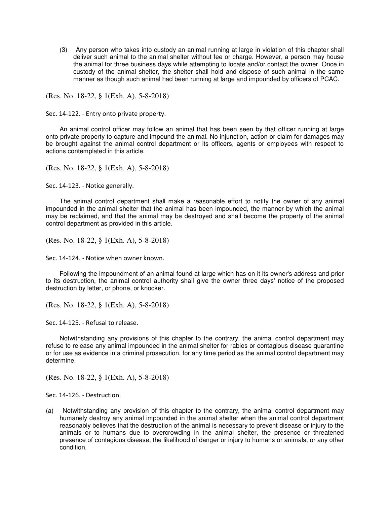(3) Any person who takes into custody an animal running at large in violation of this chapter shall deliver such animal to the animal shelter without fee or charge. However, a person may house the animal for three business days while attempting to locate and/or contact the owner. Once in custody of the animal shelter, the shelter shall hold and dispose of such animal in the same manner as though such animal had been running at large and impounded by officers of PCAC.

(Res. No. 18-22, § 1(Exh. A), 5-8-2018)

Sec. 14-122. - Entry onto private property.

An animal control officer may follow an animal that has been seen by that officer running at large onto private property to capture and impound the animal. No injunction, action or claim for damages may be brought against the animal control department or its officers, agents or employees with respect to actions contemplated in this article.

(Res. No. 18-22, § 1(Exh. A), 5-8-2018)

Sec. 14-123. - Notice generally.

The animal control department shall make a reasonable effort to notify the owner of any animal impounded in the animal shelter that the animal has been impounded, the manner by which the animal may be reclaimed, and that the animal may be destroyed and shall become the property of the animal control department as provided in this article.

(Res. No. 18-22, § 1(Exh. A), 5-8-2018)

Sec. 14-124. - Notice when owner known.

Following the impoundment of an animal found at large which has on it its owner's address and prior to its destruction, the animal control authority shall give the owner three days' notice of the proposed destruction by letter, or phone, or knocker.

(Res. No. 18-22, § 1(Exh. A), 5-8-2018)

Sec. 14-125. - Refusal to release.

Notwithstanding any provisions of this chapter to the contrary, the animal control department may refuse to release any animal impounded in the animal shelter for rabies or contagious disease quarantine or for use as evidence in a criminal prosecution, for any time period as the animal control department may determine.

(Res. No. 18-22, § 1(Exh. A), 5-8-2018)

Sec. 14-126. - Destruction.

(a) Notwithstanding any provision of this chapter to the contrary, the animal control department may humanely destroy any animal impounded in the animal shelter when the animal control department reasonably believes that the destruction of the animal is necessary to prevent disease or injury to the animals or to humans due to overcrowding in the animal shelter, the presence or threatened presence of contagious disease, the likelihood of danger or injury to humans or animals, or any other condition.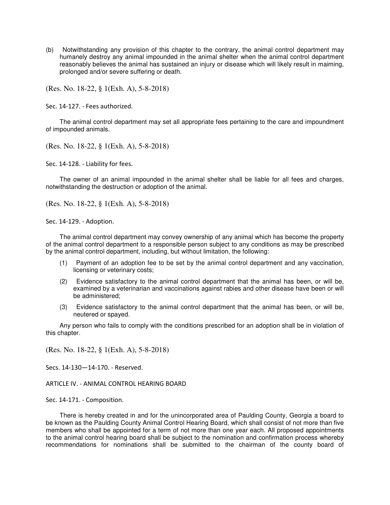(b) Notwithstanding any provision of this chapter to the contrary, the animal control department may humanely destroy any animal impounded in the animal shelter when the animal control department reasonably believes the animal has sustained an injury or disease which will likely result in maiming, prolonged and/or severe suffering or death.

(Res. No. 18-22, § 1(Exh. A), 5-8-2018)

Sec. 14-127. - Fees authorized.

The animal control department may set all appropriate fees pertaining to the care and impoundment of impounded animals.

(Res. No. 18-22, § 1(Exh. A), 5-8-2018)

Sec. 14-128. - Liability for fees.

The owner of an animal impounded in the animal shelter shall be liable for all fees and charges, notwithstanding the destruction or adoption of the animal.

(Res. No. 18-22, § 1(Exh. A), 5-8-2018)

Sec. 14-129. - Adoption.

The animal control department may convey ownership of any animal which has become the property of the animal control department to a responsible person subject to any conditions as may be prescribed by the animal control department, including, but without limitation, the following:

- (1) Payment of an adoption fee to be set by the animal control department and any vaccination, licensing or veterinary costs;
- (2) Evidence satisfactory to the animal control department that the animal has been, or will be, examined by a veterinarian and vaccinations against rabies and other disease have been or will be administered;
- (3) Evidence satisfactory to the animal control department that the animal has been, or will be, neutered or spayed.

Any person who fails to comply with the conditions prescribed for an adoption shall be in violation of this chapter.

(Res. No. 18-22, § 1(Exh. A), 5-8-2018)

Secs. 14-130—14-170. - Reserved.

ARTICLE IV. - ANIMAL CONTROL HEARING BOARD

Sec. 14-171. - Composition.

There is hereby created in and for the unincorporated area of Paulding County, Georgia a board to be known as the Paulding County Animal Control Hearing Board, which shall consist of not more than five members who shall be appointed for a term of not more than one year each. All proposed appointments to the animal control hearing board shall be subject to the nomination and confirmation process whereby recommendations for nominations shall be submitted to the chairman of the county board of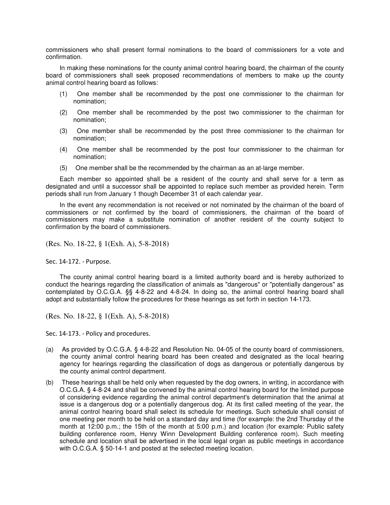commissioners who shall present formal nominations to the board of commissioners for a vote and confirmation.

In making these nominations for the county animal control hearing board, the chairman of the county board of commissioners shall seek proposed recommendations of members to make up the county animal control hearing board as follows:

- (1) One member shall be recommended by the post one commissioner to the chairman for nomination;
- (2) One member shall be recommended by the post two commissioner to the chairman for nomination;
- (3) One member shall be recommended by the post three commissioner to the chairman for nomination;
- (4) One member shall be recommended by the post four commissioner to the chairman for nomination;
- (5) One member shall be the recommended by the chairman as an at-large member.

Each member so appointed shall be a resident of the county and shall serve for a term as designated and until a successor shall be appointed to replace such member as provided herein. Term periods shall run from January 1 though December 31 of each calendar year.

In the event any recommendation is not received or not nominated by the chairman of the board of commissioners or not confirmed by the board of commissioners, the chairman of the board of commissioners may make a substitute nomination of another resident of the county subject to confirmation by the board of commissioners.

(Res. No. 18-22, § 1(Exh. A), 5-8-2018)

Sec. 14-172. - Purpose.

The county animal control hearing board is a limited authority board and is hereby authorized to conduct the hearings regarding the classification of animals as "dangerous" or "potentially dangerous" as contemplated by O.C.G.A. §§ 4-8-22 and 4-8-24. In doing so, the animal control hearing board shall adopt and substantially follow the procedures for these hearings as set forth in section 14-173.

(Res. No. 18-22, § 1(Exh. A), 5-8-2018)

Sec. 14-173. - Policy and procedures.

- (a) As provided by O.C.G.A. § 4-8-22 and Resolution No. 04-05 of the county board of commissioners, the county animal control hearing board has been created and designated as the local hearing agency for hearings regarding the classification of dogs as dangerous or potentially dangerous by the county animal control department.
- (b) These hearings shall be held only when requested by the dog owners, in writing, in accordance with O.C.G.A. § 4-8-24 and shall be convened by the animal control hearing board for the limited purpose of considering evidence regarding the animal control department's determination that the animal at issue is a dangerous dog or a potentially dangerous dog. At its first called meeting of the year, the animal control hearing board shall select its schedule for meetings. Such schedule shall consist of one meeting per month to be held on a standard day and time (for example: the 2nd Thursday of the month at 12:00 p.m.; the 15th of the month at 5:00 p.m.) and location (for example: Public safety building conference room, Henry Winn Development Building conference room). Such meeting schedule and location shall be advertised in the local legal organ as public meetings in accordance with O.C.G.A. § 50-14-1 and posted at the selected meeting location.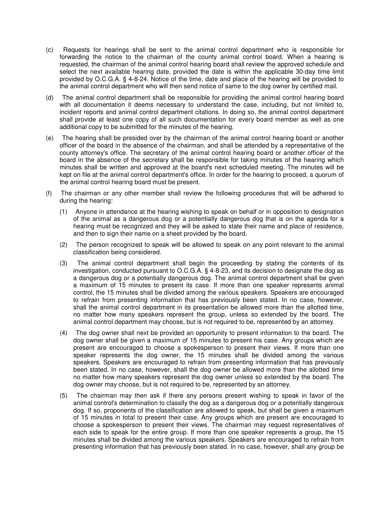- (c) Requests for hearings shall be sent to the animal control department who is responsible for forwarding the notice to the chairman of the county animal control board. When a hearing is requested, the chairman of the animal control hearing board shall review the approved schedule and select the next available hearing date, provided the date is within the applicable 30-day time limit provided by O.C.G.A. § 4-8-24. Notice of the time, date and place of the hearing will be provided to the animal control department who will then send notice of same to the dog owner by certified mail.
- (d) The animal control department shall be responsible for providing the animal control hearing board with all documentation it deems necessary to understand the case, including, but not limited to, incident reports and animal control department citations. In doing so, the animal control department shall provide at least one copy of all such documentation for every board member as well as one additional copy to be submitted for the minutes of the hearing.
- (e) The hearing shall be presided over by the chairman of the animal control hearing board or another officer of the board in the absence of the chairman, and shall be attended by a representative of the county attorney's office. The secretary of the animal control hearing board or another officer of the board in the absence of the secretary shall be responsible for taking minutes of the hearing which minutes shall be written and approved at the board's next scheduled meeting. The minutes will be kept on file at the animal control department's office. In order for the hearing to proceed, a quorum of the animal control hearing board must be present.
- (f) The chairman or any other member shall review the following procedures that will be adhered to during the hearing:
	- (1) Anyone in attendance at the hearing wishing to speak on behalf or in opposition to designation of the animal as a dangerous dog or a potentially dangerous dog that is on the agenda for a hearing must be recognized and they will be asked to state their name and place of residence, and then to sign their name on a sheet provided by the board.
	- (2) The person recognized to speak will be allowed to speak on any point relevant to the animal classification being considered.
	- (3) The animal control department shall begin the proceeding by stating the contents of its investigation, conducted pursuant to O.C.G.A. § 4-8-23, and its decision to designate the dog as a dangerous dog or a potentially dangerous dog. The animal control department shall be given a maximum of 15 minutes to present its case. If more than one speaker represents animal control, the 15 minutes shall be divided among the various speakers. Speakers are encouraged to refrain from presenting information that has previously been stated. In no case, however, shall the animal control department in its presentation be allowed more than the allotted time, no matter how many speakers represent the group, unless so extended by the board. The animal control department may choose, but is not required to be, represented by an attorney.
	- (4) The dog owner shall next be provided an opportunity to present information to the board. The dog owner shall be given a maximum of 15 minutes to present his case. Any groups which are present are encouraged to choose a spokesperson to present their views. If more than one speaker represents the dog owner, the 15 minutes shall be divided among the various speakers. Speakers are encouraged to refrain from presenting information that has previously been stated. In no case, however, shall the dog owner be allowed more than the allotted time no matter how many speakers represent the dog owner unless so extended by the board. The dog owner may choose, but is not required to be, represented by an attorney.
	- (5) The chairman may then ask if there any persons present wishing to speak in favor of the animal control's determination to classify the dog as a dangerous dog or a potentially dangerous dog. If so, proponents of the classification are allowed to speak, but shall be given a maximum of 15 minutes in total to present their case. Any groups which are present are encouraged to choose a spokesperson to present their views. The chairman may request representatives of each side to speak for the entire group. If more than one speaker represents a group, the 15 minutes shall be divided among the various speakers. Speakers are encouraged to refrain from presenting information that has previously been stated. In no case, however, shall any group be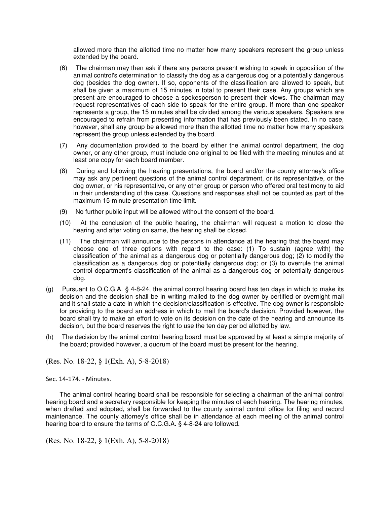allowed more than the allotted time no matter how many speakers represent the group unless extended by the board.

- (6) The chairman may then ask if there any persons present wishing to speak in opposition of the animal control's determination to classify the dog as a dangerous dog or a potentially dangerous dog (besides the dog owner). If so, opponents of the classification are allowed to speak, but shall be given a maximum of 15 minutes in total to present their case. Any groups which are present are encouraged to choose a spokesperson to present their views. The chairman may request representatives of each side to speak for the entire group. If more than one speaker represents a group, the 15 minutes shall be divided among the various speakers. Speakers are encouraged to refrain from presenting information that has previously been stated. In no case, however, shall any group be allowed more than the allotted time no matter how many speakers represent the group unless extended by the board.
- (7) Any documentation provided to the board by either the animal control department, the dog owner, or any other group, must include one original to be filed with the meeting minutes and at least one copy for each board member.
- (8) During and following the hearing presentations, the board and/or the county attorney's office may ask any pertinent questions of the animal control department, or its representative, or the dog owner, or his representative, or any other group or person who offered oral testimony to aid in their understanding of the case. Questions and responses shall not be counted as part of the maximum 15-minute presentation time limit.
- (9) No further public input will be allowed without the consent of the board.
- (10) At the conclusion of the public hearing, the chairman will request a motion to close the hearing and after voting on same, the hearing shall be closed.
- (11) The chairman will announce to the persons in attendance at the hearing that the board may choose one of three options with regard to the case: (1) To sustain (agree with) the classification of the animal as a dangerous dog or potentially dangerous dog; (2) to modify the classification as a dangerous dog or potentially dangerous dog; or (3) to overrule the animal control department's classification of the animal as a dangerous dog or potentially dangerous dog.
- (g) Pursuant to O.C.G.A. § 4-8-24, the animal control hearing board has ten days in which to make its decision and the decision shall be in writing mailed to the dog owner by certified or overnight mail and it shall state a date in which the decision/classification is effective. The dog owner is responsible for providing to the board an address in which to mail the board's decision. Provided however, the board shall try to make an effort to vote on its decision on the date of the hearing and announce its decision, but the board reserves the right to use the ten day period allotted by law.
- (h) The decision by the animal control hearing board must be approved by at least a simple majority of the board; provided however, a quorum of the board must be present for the hearing.

(Res. No. 18-22, § 1(Exh. A), 5-8-2018)

Sec. 14-174. - Minutes.

The animal control hearing board shall be responsible for selecting a chairman of the animal control hearing board and a secretary responsible for keeping the minutes of each hearing. The hearing minutes, when drafted and adopted, shall be forwarded to the county animal control office for filing and record maintenance. The county attorney's office shall be in attendance at each meeting of the animal control hearing board to ensure the terms of O.C.G.A. § 4-8-24 are followed.

(Res. No. 18-22, § 1(Exh. A), 5-8-2018)